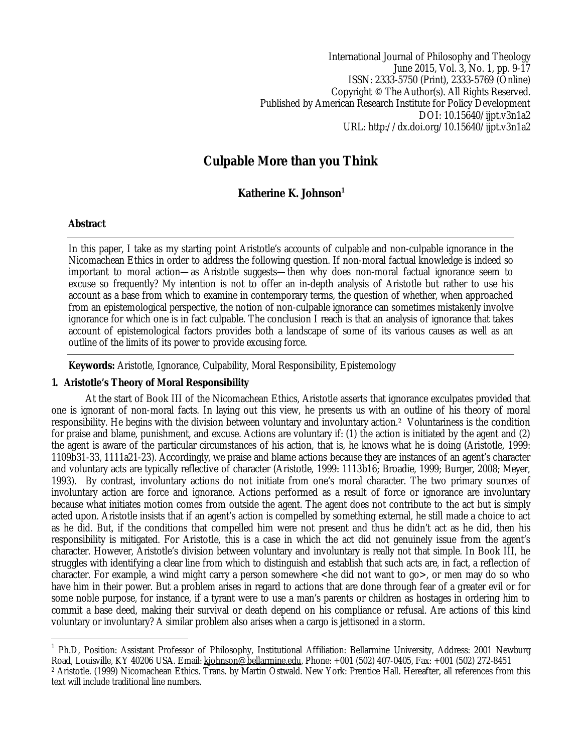International Journal of Philosophy and Theology June 2015, Vol. 3, No. 1, pp. 9-17 ISSN: 2333-5750 (Print), 2333-5769 (Online) Copyright © The Author(s). All Rights Reserved. Published by American Research Institute for Policy Development DOI: 10.15640/ijpt.v3n1a2 URL: http://dx.doi.org/10.15640/ijpt.v3n1a2

# **Culpable More than you Think**

# **Katherine K. Johnson<sup>1</sup>**

#### **Abstract**

 $\overline{\phantom{a}}$ 

In this paper, I take as my starting point Aristotle's accounts of culpable and non-culpable ignorance in the Nicomachean Ethics in order to address the following question. If non-moral factual knowledge is indeed so important to moral action—as Aristotle suggests—then why does non-moral factual ignorance seem to excuse so frequently? My intention is not to offer an in-depth analysis of Aristotle but rather to use his account as a base from which to examine in contemporary terms, the question of whether, when approached from an epistemological perspective, the notion of non-culpable ignorance can sometimes mistakenly involve ignorance for which one is in fact culpable. The conclusion I reach is that an analysis of ignorance that takes account of epistemological factors provides both a landscape of some of its various causes as well as an outline of the limits of its power to provide excusing force.

**Keywords:** Aristotle, Ignorance, Culpability, Moral Responsibility, Epistemology

#### **1. Aristotle's Theory of Moral Responsibility**

At the start of Book III of the Nicomachean Ethics, Aristotle asserts that ignorance exculpates provided that one is ignorant of non-moral facts. In laying out this view, he presents us with an outline of his theory of moral responsibility. He begins with the division between voluntary and involuntary action.2 Voluntariness is the condition for praise and blame, punishment, and excuse. Actions are voluntary if: (1) the action is initiated by the agent and (2) the agent is aware of the particular circumstances of his action, that is, he knows what he is doing (Aristotle, 1999: 1109b31-33, 1111a21-23). Accordingly, we praise and blame actions because they are instances of an agent's character and voluntary acts are typically reflective of character (Aristotle, 1999: 1113b16; Broadie, 1999; Burger, 2008; Meyer, 1993). By contrast, involuntary actions do not initiate from one's moral character. The two primary sources of involuntary action are force and ignorance. Actions performed as a result of force or ignorance are involuntary because what initiates motion comes from outside the agent. The agent does not contribute to the act but is simply acted upon. Aristotle insists that if an agent's action is compelled by something external, he still made a choice to act as he did. But, if the conditions that compelled him were not present and thus he didn't act as he did, then his responsibility is mitigated. For Aristotle, this is a case in which the act did not genuinely issue from the agent's character. However, Aristotle's division between voluntary and involuntary is really not that simple. In Book III, he struggles with identifying a clear line from which to distinguish and establish that such acts are, in fact, a reflection of character. For example, a wind might carry a person somewhere <he did not want to go>, or men may do so who have him in their power. But a problem arises in regard to actions that are done through fear of a greater evil or for some noble purpose, for instance, if a tyrant were to use a man's parents or children as hostages in ordering him to commit a base deed, making their survival or death depend on his compliance or refusal. Are actions of this kind voluntary or involuntary? A similar problem also arises when a cargo is jettisoned in a storm.

<sup>&</sup>lt;sup>1</sup> Ph.D, Position: Assistant Professor of Philosophy, Institutional Affiliation: Bellarmine University, Address: 2001 Newburg Road, Louisville, KY 40206 USA. Email: kjohnson@bellarmine.edu, Phone: +001 (502) 407-0405, Fax: +001 (502) 272-8451 <sup>2</sup> Aristotle. (1999) Nicomachean Ethics. Trans. by Martin Ostwald. New York: Prentice Hall. Hereafter, all references from this text will include traditional line numbers.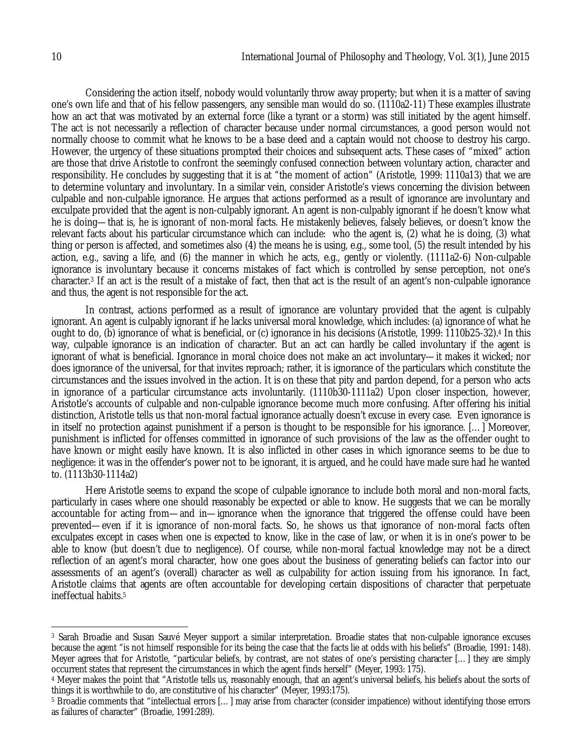Considering the action itself, nobody would voluntarily throw away property; but when it is a matter of saving one's own life and that of his fellow passengers, any sensible man would do so. (1110a2-11) These examples illustrate how an act that was motivated by an external force (like a tyrant or a storm) was still initiated by the agent himself. The act is not necessarily a reflection of character because under normal circumstances, a good person would not normally choose to commit what he knows to be a base deed and a captain would not choose to destroy his cargo. However, the urgency of these situations prompted their choices and subsequent acts. These cases of "mixed" action are those that drive Aristotle to confront the seemingly confused connection between voluntary action, character and responsibility. He concludes by suggesting that it is at "the moment of action" (Aristotle, 1999: 1110a13) that we are to determine voluntary and involuntary. In a similar vein, consider Aristotle's views concerning the division between culpable and non-culpable ignorance. He argues that actions performed as a result of ignorance are involuntary and exculpate provided that the agent is non-culpably ignorant. An agent is non-culpably ignorant if he doesn't know what he is doing—that is, he is ignorant of non-moral facts. He mistakenly believes, falsely believes, or doesn't know the relevant facts about his particular circumstance which can include: who the agent is, (2) what he is doing, (3) what thing or person is affected, and sometimes also (4) the means he is using, e.g., some tool, (5) the result intended by his action, e.g., saving a life, and (6) the manner in which he acts, e.g., gently or violently. (1111a2-6) Non-culpable ignorance is involuntary because it concerns mistakes of fact which is controlled by sense perception, not one's character.<sup>3</sup> If an act is the result of a mistake of fact, then that act is the result of an agent's non-culpable ignorance and thus, the agent is not responsible for the act.

In contrast, actions performed as a result of ignorance are voluntary provided that the agent is culpably ignorant. An agent is culpably ignorant if he lacks universal moral knowledge, which includes: (a) ignorance of what he ought to do, (b) ignorance of what is beneficial, or (c) ignorance in his decisions (Aristotle, 1999: 1110b25-32).<sup>4</sup> In this way, culpable ignorance is an indication of character. But an act can hardly be called involuntary if the agent is ignorant of what is beneficial. Ignorance in moral choice does not make an act involuntary—it makes it wicked; nor does ignorance of the universal, for that invites reproach; rather, it is ignorance of the particulars which constitute the circumstances and the issues involved in the action. It is on these that pity and pardon depend, for a person who acts in ignorance of a particular circumstance acts involuntarily. (1110b30-1111a2) Upon closer inspection, however, Aristotle's accounts of culpable and non-culpable ignorance become much more confusing. After offering his initial distinction, Aristotle tells us that non-moral factual ignorance actually doesn't excuse in every case. Even ignorance is in itself no protection against punishment if a person is thought to be responsible for his ignorance. […] Moreover, punishment is inflicted for offenses committed in ignorance of such provisions of the law as the offender ought to have known or might easily have known. It is also inflicted in other cases in which ignorance seems to be due to negligence: it was in the offender's power not to be ignorant, it is argued, and he could have made sure had he wanted to. (1113b30-1114a2)

Here Aristotle seems to expand the scope of culpable ignorance to include both moral and non-moral facts, particularly in cases where one should reasonably be expected or able to know. He suggests that we can be morally accountable for acting from—and in—ignorance when the ignorance that triggered the offense could have been prevented—even if it is ignorance of non-moral facts. So, he shows us that ignorance of non-moral facts often exculpates except in cases when one is expected to know, like in the case of law, or when it is in one's power to be able to know (but doesn't due to negligence). Of course, while non-moral factual knowledge may not be a direct reflection of an agent's moral character, how one goes about the business of generating beliefs can factor into our assessments of an agent's (overall) character as well as culpability for action issuing from his ignorance. In fact, Aristotle claims that agents are often accountable for developing certain dispositions of character that perpetuate ineffectual habits.<sup>5</sup>

 $\overline{a}$ <sup>3</sup> Sarah Broadie and Susan Sauvé Meyer support a similar interpretation. Broadie states that non-culpable ignorance excuses because the agent "is not himself responsible for its being the case that the facts lie at odds with his beliefs" (Broadie, 1991: 148). Meyer agrees that for Aristotle, "particular beliefs, by contrast, are not states of one's persisting character […] they are simply occurrent states that represent the circumstances in which the agent finds herself" (Meyer, 1993: 175).

<sup>4</sup> Meyer makes the point that "Aristotle tells us, reasonably enough, that an agent's universal beliefs, his beliefs about the sorts of things it is worthwhile to do, are constitutive of his character" (Meyer, 1993:175).

<sup>5</sup> Broadie comments that "intellectual errors […] may arise from character (consider impatience) without identifying those errors as failures of character" (Broadie, 1991:289).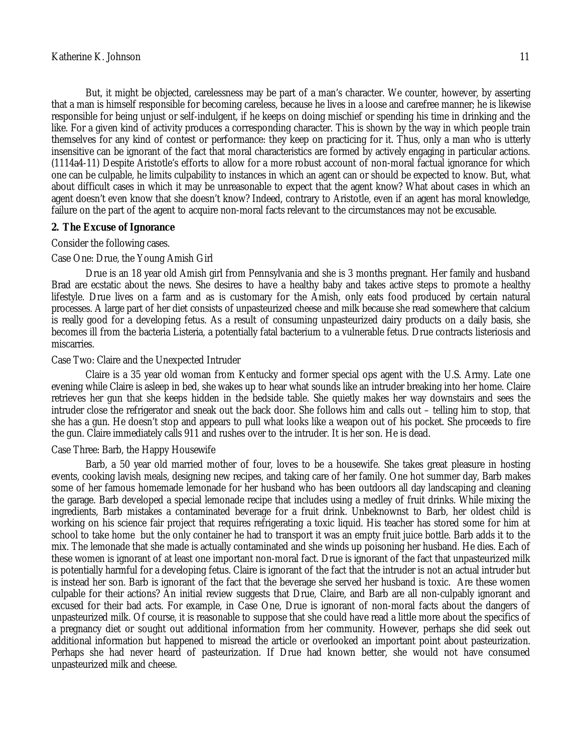that a man is himself responsible for becoming careless, because he lives in a loose and carefree manner; he is likewise responsible for being unjust or self-indulgent, if he keeps on doing mischief or spending his time in drinking and the like. For a given kind of activity produces a corresponding character. This is shown by the way in which people train themselves for any kind of contest or performance: they keep on practicing for it. Thus, only a man who is utterly insensitive can be ignorant of the fact that moral characteristics are formed by actively engaging in particular actions. (1114a4-11) Despite Aristotle's efforts to allow for a more robust account of non-moral factual ignorance for which one can be culpable, he limits culpability to instances in which an agent can or should be expected to know. But, what about difficult cases in which it may be unreasonable to expect that the agent know? What about cases in which an agent doesn't even know that she doesn't know? Indeed, contrary to Aristotle, even if an agent has moral knowledge, failure on the part of the agent to acquire non-moral facts relevant to the circumstances may not be excusable.

#### **2. The Excuse of Ignorance**

#### Consider the following cases.

#### Case One: Drue, the Young Amish Girl

Drue is an 18 year old Amish girl from Pennsylvania and she is 3 months pregnant. Her family and husband Brad are ecstatic about the news. She desires to have a healthy baby and takes active steps to promote a healthy lifestyle. Drue lives on a farm and as is customary for the Amish, only eats food produced by certain natural processes. A large part of her diet consists of unpasteurized cheese and milk because she read somewhere that calcium is really good for a developing fetus. As a result of consuming unpasteurized dairy products on a daily basis, she becomes ill from the bacteria Listeria, a potentially fatal bacterium to a vulnerable fetus. Drue contracts listeriosis and miscarries.

#### Case Two: Claire and the Unexpected Intruder

Claire is a 35 year old woman from Kentucky and former special ops agent with the U.S. Army. Late one evening while Claire is asleep in bed, she wakes up to hear what sounds like an intruder breaking into her home. Claire retrieves her gun that she keeps hidden in the bedside table. She quietly makes her way downstairs and sees the intruder close the refrigerator and sneak out the back door. She follows him and calls out – telling him to stop, that she has a gun. He doesn't stop and appears to pull what looks like a weapon out of his pocket. She proceeds to fire the gun. Claire immediately calls 911 and rushes over to the intruder. It is her son. He is dead.

## Case Three: Barb, the Happy Housewife

Barb, a 50 year old married mother of four, loves to be a housewife. She takes great pleasure in hosting events, cooking lavish meals, designing new recipes, and taking care of her family. One hot summer day, Barb makes some of her famous homemade lemonade for her husband who has been outdoors all day landscaping and cleaning the garage. Barb developed a special lemonade recipe that includes using a medley of fruit drinks. While mixing the ingredients, Barb mistakes a contaminated beverage for a fruit drink. Unbeknownst to Barb, her oldest child is working on his science fair project that requires refrigerating a toxic liquid. His teacher has stored some for him at school to take home but the only container he had to transport it was an empty fruit juice bottle. Barb adds it to the mix. The lemonade that she made is actually contaminated and she winds up poisoning her husband. He dies. Each of these women is ignorant of at least one important non-moral fact. Drue is ignorant of the fact that unpasteurized milk is potentially harmful for a developing fetus. Claire is ignorant of the fact that the intruder is not an actual intruder but is instead her son. Barb is ignorant of the fact that the beverage she served her husband is toxic. Are these women culpable for their actions? An initial review suggests that Drue, Claire, and Barb are all non-culpably ignorant and excused for their bad acts. For example, in Case One, Drue is ignorant of non-moral facts about the dangers of unpasteurized milk. Of course, it is reasonable to suppose that she could have read a little more about the specifics of a pregnancy diet or sought out additional information from her community. However, perhaps she did seek out additional information but happened to misread the article or overlooked an important point about pasteurization. Perhaps she had never heard of pasteurization. If Drue had known better, she would not have consumed unpasteurized milk and cheese.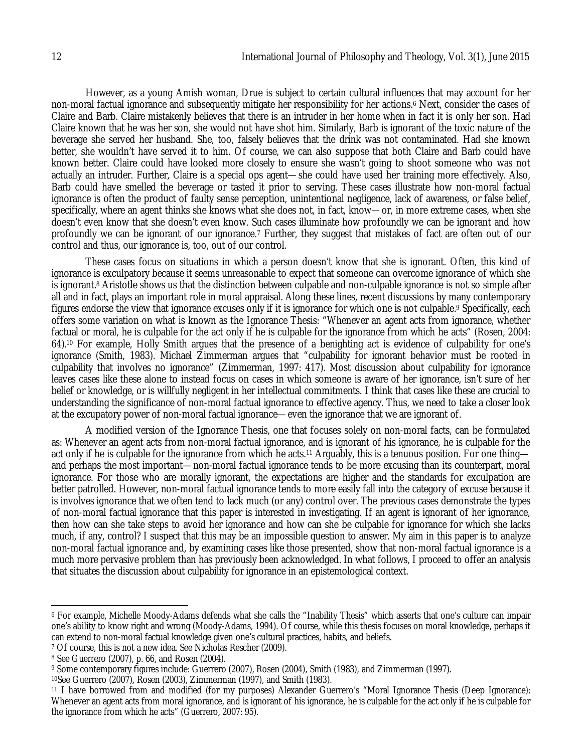However, as a young Amish woman, Drue is subject to certain cultural influences that may account for her non-moral factual ignorance and subsequently mitigate her responsibility for her actions.<sup>6</sup> Next, consider the cases of Claire and Barb. Claire mistakenly believes that there is an intruder in her home when in fact it is only her son. Had Claire known that he was her son, she would not have shot him. Similarly, Barb is ignorant of the toxic nature of the beverage she served her husband. She, too, falsely believes that the drink was not contaminated. Had she known better, she wouldn't have served it to him. Of course, we can also suppose that both Claire and Barb could have known better. Claire could have looked more closely to ensure she wasn't going to shoot someone who was not actually an intruder. Further, Claire is a special ops agent—she could have used her training more effectively. Also, Barb could have smelled the beverage or tasted it prior to serving. These cases illustrate how non-moral factual ignorance is often the product of faulty sense perception, unintentional negligence, lack of awareness, or false belief, specifically, where an agent thinks she knows what she does not, in fact, know—or, in more extreme cases, when she doesn't even know that she doesn't even know. Such cases illuminate how profoundly we can be ignorant and how profoundly we can be ignorant of our ignorance.<sup>7</sup> Further, they suggest that mistakes of fact are often out of our control and thus, our ignorance is, too, out of our control.

These cases focus on situations in which a person doesn't know that she is ignorant. Often, this kind of ignorance is exculpatory because it seems unreasonable to expect that someone can overcome ignorance of which she is ignorant.<sup>8</sup> Aristotle shows us that the distinction between culpable and non-culpable ignorance is not so simple after all and in fact, plays an important role in moral appraisal. Along these lines, recent discussions by many contemporary figures endorse the view that ignorance excuses only if it is ignorance for which one is not culpable.<sup>9</sup> Specifically, each offers some variation on what is known as the Ignorance Thesis: "Whenever an agent acts from ignorance, whether factual or moral, he is culpable for the act only if he is culpable for the ignorance from which he acts" (Rosen, 2004: 64).<sup>10</sup> For example, Holly Smith argues that the presence of a benighting act is evidence of culpability for one's ignorance (Smith, 1983). Michael Zimmerman argues that "culpability for ignorant behavior must be rooted in culpability that involves no ignorance" (Zimmerman, 1997: 417). Most discussion about culpability for ignorance leaves cases like these alone to instead focus on cases in which someone is aware of her ignorance, isn't sure of her belief or knowledge, or is willfully negligent in her intellectual commitments. I think that cases like these are crucial to understanding the significance of non-moral factual ignorance to effective agency. Thus, we need to take a closer look at the excupatory power of non-moral factual ignorance—even the ignorance that we are ignorant of.

A modified version of the Ignorance Thesis, one that focuses solely on non-moral facts, can be formulated as: Whenever an agent acts from non-moral factual ignorance, and is ignorant of his ignorance, he is culpable for the act only if he is culpable for the ignorance from which he acts.<sup>11</sup> Arguably, this is a tenuous position. For one thing and perhaps the most important—non-moral factual ignorance tends to be more excusing than its counterpart, moral ignorance. For those who are morally ignorant, the expectations are higher and the standards for exculpation are better patrolled. However, non-moral factual ignorance tends to more easily fall into the category of excuse because it is involves ignorance that we often tend to lack much (or any) control over. The previous cases demonstrate the types of non-moral factual ignorance that this paper is interested in investigating. If an agent is ignorant of her ignorance, then how can she take steps to avoid her ignorance and how can she be culpable for ignorance for which she lacks much, if any, control? I suspect that this may be an impossible question to answer. My aim in this paper is to analyze non-moral factual ignorance and, by examining cases like those presented, show that non-moral factual ignorance is a much more pervasive problem than has previously been acknowledged. In what follows, I proceed to offer an analysis that situates the discussion about culpability for ignorance in an epistemological context.

 $\overline{\phantom{a}}$ 

<sup>6</sup> For example, Michelle Moody-Adams defends what she calls the "Inability Thesis" which asserts that one's culture can impair one's ability to know right and wrong (Moody-Adams, 1994). Of course, while this thesis focuses on moral knowledge, perhaps it can extend to non-moral factual knowledge given one's cultural practices, habits, and beliefs.

<sup>&</sup>lt;sup>7</sup> Of course, this is not a new idea. See Nicholas Rescher (2009).

<sup>8</sup> See Guerrero (2007), p. 66, and Rosen (2004).

<sup>9</sup> Some contemporary figures include: Guerrero (2007), Rosen (2004), Smith (1983), and Zimmerman (1997).

<sup>10</sup>See Guerrero (2007), Rosen (2003), Zimmerman (1997), and Smith (1983).

<sup>11</sup> I have borrowed from and modified (for my purposes) Alexander Guerrero's "Moral Ignorance Thesis (Deep Ignorance): Whenever an agent acts from moral ignorance, and is ignorant of his ignorance, he is culpable for the act only if he is culpable for the ignorance from which he acts" (Guerrero, 2007: 95).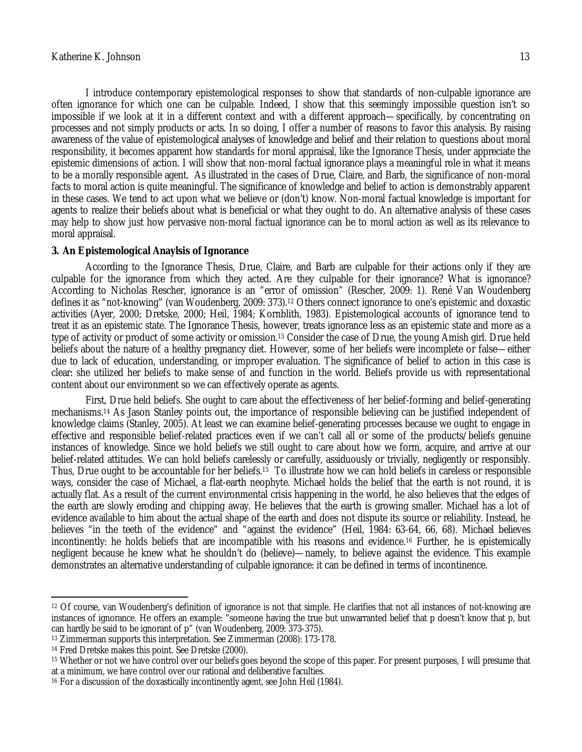I introduce contemporary epistemological responses to show that standards of non-culpable ignorance are often ignorance for which one can be culpable. Indeed, I show that this seemingly impossible question isn't so impossible if we look at it in a different context and with a different approach—specifically, by concentrating on processes and not simply products or acts. In so doing, I offer a number of reasons to favor this analysis. By raising awareness of the value of epistemological analyses of knowledge and belief and their relation to questions about moral responsibility, it becomes apparent how standards for moral appraisal, like the Ignorance Thesis, under appreciate the epistemic dimensions of action. I will show that non-moral factual ignorance plays a meaningful role in what it means to be a morally responsible agent. As illustrated in the cases of Drue, Claire, and Barb, the significance of non-moral facts to moral action is quite meaningful. The significance of knowledge and belief to action is demonstrably apparent in these cases. We tend to act upon what we believe or (don't) know. Non-moral factual knowledge is important for agents to realize their beliefs about what is beneficial or what they ought to do. An alternative analysis of these cases may help to show just how pervasive non-moral factual ignorance can be to moral action as well as its relevance to moral appraisal.

#### **3. An Epistemological Anaylsis of Ignorance**

According to the Ignorance Thesis, Drue, Claire, and Barb are culpable for their actions only if they are culpable for the ignorance from which they acted. Are they culpable for their ignorance? What is ignorance? According to Nicholas Rescher, ignorance is an "error of omission" (Rescher, 2009: 1). René Van Woudenberg defines it as "not-knowing" (van Woudenberg, 2009: 373).<sup>12</sup> Others connect ignorance to one's epistemic and doxastic activities (Ayer, 2000; Dretske, 2000; Heil, 1984; Kornblith, 1983). Epistemological accounts of ignorance tend to treat it as an epistemic state. The Ignorance Thesis, however, treats ignorance less as an epistemic state and more as a type of activity or product of some activity or omission.<sup>13</sup> Consider the case of Drue, the young Amish girl. Drue held beliefs about the nature of a healthy pregnancy diet. However, some of her beliefs were incomplete or false—either due to lack of education, understanding, or improper evaluation. The significance of belief to action in this case is clear: she utilized her beliefs to make sense of and function in the world. Beliefs provide us with representational content about our environment so we can effectively operate as agents.

First, Drue held beliefs. She ought to care about the effectiveness of her belief-forming and belief-generating mechanisms.<sup>14</sup> As Jason Stanley points out, the importance of responsible believing can be justified independent of knowledge claims (Stanley, 2005). At least we can examine belief-generating processes because we ought to engage in effective and responsible belief-related practices even if we can't call all or some of the products/beliefs genuine instances of knowledge. Since we hold beliefs we still ought to care about how we form, acquire, and arrive at our belief-related attitudes. We can hold beliefs carelessly or carefully, assiduously or trivially, negligently or responsibly. Thus, Drue ought to be accountable for her beliefs.15 To illustrate how we can hold beliefs in careless or responsible ways, consider the case of Michael, a flat-earth neophyte. Michael holds the belief that the earth is not round, it is actually flat. As a result of the current environmental crisis happening in the world, he also believes that the edges of the earth are slowly eroding and chipping away. He believes that the earth is growing smaller. Michael has a lot of evidence available to him about the actual shape of the earth and does not dispute its source or reliability. Instead, he believes "in the teeth of the evidence" and "against the evidence" (Heil, 1984: 63-64, 66, 68). Michael believes incontinently: he holds beliefs that are incompatible with his reasons and evidence.<sup>16</sup> Further, he is epistemically negligent because he knew what he shouldn't do (believe)—namely, to believe against the evidence. This example demonstrates an alternative understanding of culpable ignorance: it can be defined in terms of incontinence.

 $\overline{a}$ 

<sup>12</sup> Of course, van Woudenberg's definition of ignorance is not that simple. He clarifies that not all instances of not-knowing are instances of ignorance. He offers an example: "someone having the true but unwarranted belief that p doesn't know that p, but can hardly be said to be ignorant of p" (van Woudenberg, 2009: 373-375).

<sup>13</sup> Zimmerman supports this interpretation. See Zimmerman (2008): 173-178.

<sup>14</sup> Fred Dretske makes this point. See Dretske (2000).

<sup>15</sup> Whether or not we have control over our beliefs goes beyond the scope of this paper. For present purposes, I will presume that at a minimum, we have control over our rational and deliberative faculties.

<sup>16</sup> For a discussion of the doxastically incontinently agent, see John Heil (1984).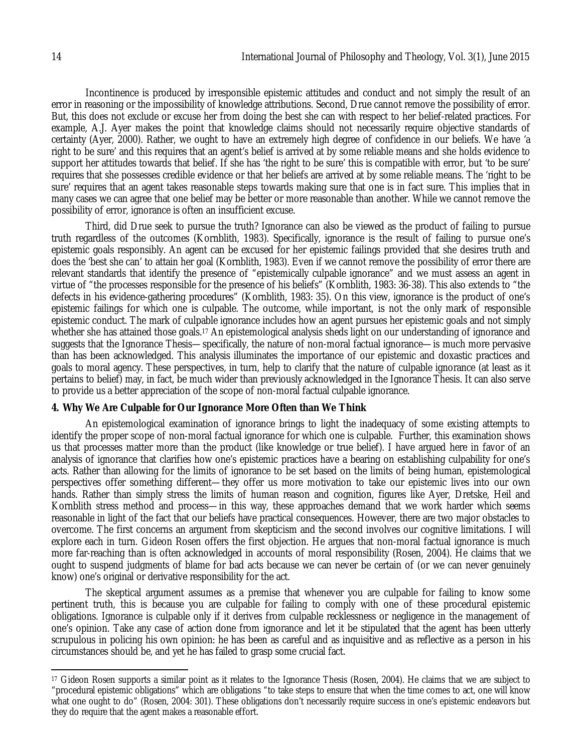Incontinence is produced by irresponsible epistemic attitudes and conduct and not simply the result of an error in reasoning or the impossibility of knowledge attributions. Second, Drue cannot remove the possibility of error. But, this does not exclude or excuse her from doing the best she can with respect to her belief-related practices. For example, A.J. Ayer makes the point that knowledge claims should not necessarily require objective standards of certainty (Ayer, 2000). Rather, we ought to have an extremely high degree of confidence in our beliefs. We have 'a right to be sure' and this requires that an agent's belief is arrived at by some reliable means and she holds evidence to support her attitudes towards that belief. If she has 'the right to be sure' this is compatible with error, but 'to be sure' requires that she possesses credible evidence or that her beliefs are arrived at by some reliable means. The 'right to be sure' requires that an agent takes reasonable steps towards making sure that one is in fact sure. This implies that in many cases we can agree that one belief may be better or more reasonable than another. While we cannot remove the possibility of error, ignorance is often an insufficient excuse.

Third, did Drue seek to pursue the truth? Ignorance can also be viewed as the product of failing to pursue truth regardless of the outcomes (Kornblith, 1983). Specifically, ignorance is the result of failing to pursue one's epistemic goals responsibly. An agent can be excused for her epistemic failings provided that she desires truth and does the 'best she can' to attain her goal (Kornblith, 1983). Even if we cannot remove the possibility of error there are relevant standards that identify the presence of "epistemically culpable ignorance" and we must assess an agent in virtue of "the processes responsible for the presence of his beliefs" (Kornblith, 1983: 36-38). This also extends to "the defects in his evidence-gathering procedures" (Kornblith, 1983: 35). On this view, ignorance is the product of one's epistemic failings for which one is culpable. The outcome, while important, is not the only mark of responsible epistemic conduct. The mark of culpable ignorance includes how an agent pursues her epistemic goals and not simply whether she has attained those goals.<sup>17</sup> An epistemological analysis sheds light on our understanding of ignorance and suggests that the Ignorance Thesis—specifically, the nature of non-moral factual ignorance—is much more pervasive than has been acknowledged. This analysis illuminates the importance of our epistemic and doxastic practices and goals to moral agency. These perspectives, in turn, help to clarify that the nature of culpable ignorance (at least as it pertains to belief) may, in fact, be much wider than previously acknowledged in the Ignorance Thesis. It can also serve to provide us a better appreciation of the scope of non-moral factual culpable ignorance.

#### **4. Why We Are Culpable for Our Ignorance More Often than We Think**

An epistemological examination of ignorance brings to light the inadequacy of some existing attempts to identify the proper scope of non-moral factual ignorance for which one is culpable. Further, this examination shows us that processes matter more than the product (like knowledge or true belief). I have argued here in favor of an analysis of ignorance that clarifies how one's epistemic practices have a bearing on establishing culpability for one's acts. Rather than allowing for the limits of ignorance to be set based on the limits of being human, epistemological perspectives offer something different—they offer us more motivation to take our epistemic lives into our own hands. Rather than simply stress the limits of human reason and cognition, figures like Ayer, Dretske, Heil and Kornblith stress method and process—in this way, these approaches demand that we work harder which seems reasonable in light of the fact that our beliefs have practical consequences. However, there are two major obstacles to overcome. The first concerns an argument from skepticism and the second involves our cognitive limitations. I will explore each in turn. Gideon Rosen offers the first objection. He argues that non-moral factual ignorance is much more far-reaching than is often acknowledged in accounts of moral responsibility (Rosen, 2004). He claims that we ought to suspend judgments of blame for bad acts because we can never be certain of (or we can never genuinely know) one's original or derivative responsibility for the act.

The skeptical argument assumes as a premise that whenever you are culpable for failing to know some pertinent truth, this is because you are culpable for failing to comply with one of these procedural epistemic obligations. Ignorance is culpable only if it derives from culpable recklessness or negligence in the management of one's opinion. Take any case of action done from ignorance and let it be stipulated that the agent has been utterly scrupulous in policing his own opinion: he has been as careful and as inquisitive and as reflective as a person in his circumstances should be, and yet he has failed to grasp some crucial fact.

 $\overline{a}$ <sup>17</sup> Gideon Rosen supports a similar point as it relates to the Ignorance Thesis (Rosen, 2004). He claims that we are subject to "procedural epistemic obligations" which are obligations "to take steps to ensure that when the time comes to act, one will know what one ought to do" (Rosen, 2004: 301). These obligations don't necessarily require success in one's epistemic endeavors but they do require that the agent makes a reasonable effort.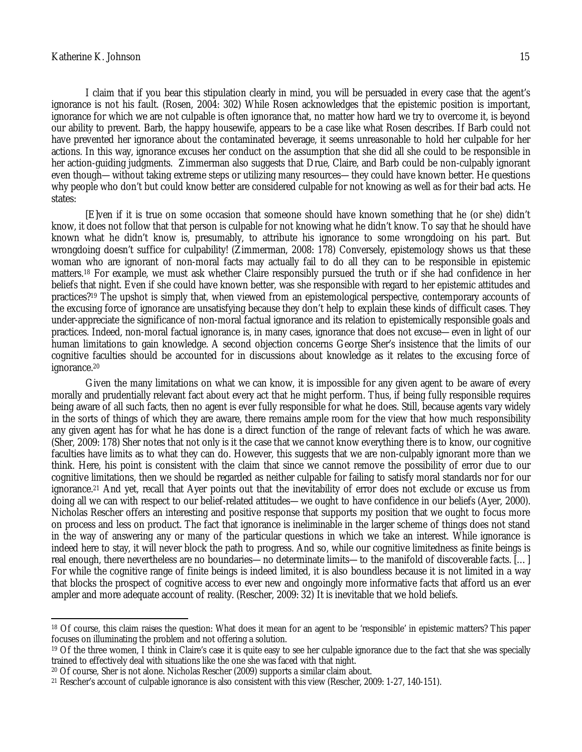I claim that if you bear this stipulation clearly in mind, you will be persuaded in every case that the agent's ignorance is not his fault. (Rosen, 2004: 302) While Rosen acknowledges that the epistemic position is important, ignorance for which we are not culpable is often ignorance that, no matter how hard we try to overcome it, is beyond our ability to prevent. Barb, the happy housewife, appears to be a case like what Rosen describes. If Barb could not have prevented her ignorance about the contaminated beverage, it seems unreasonable to hold her culpable for her actions. In this way, ignorance excuses her conduct on the assumption that she did all she could to be responsible in her action-guiding judgments. Zimmerman also suggests that Drue, Claire, and Barb could be non-culpably ignorant even though—without taking extreme steps or utilizing many resources—they could have known better. He questions why people who don't but could know better are considered culpable for not knowing as well as for their bad acts. He states:

[E]ven if it is true on some occasion that someone should have known something that he (or she) didn't know, it does not follow that that person is culpable for not knowing what he didn't know. To say that he should have known what he didn't know is, presumably, to attribute his ignorance to some wrongdoing on his part. But wrongdoing doesn't suffice for culpability! (Zimmerman, 2008: 178) Conversely, epistemology shows us that these woman who are ignorant of non-moral facts may actually fail to do all they can to be responsible in epistemic matters.<sup>18</sup> For example, we must ask whether Claire responsibly pursued the truth or if she had confidence in her beliefs that night. Even if she could have known better, was she responsible with regard to her epistemic attitudes and practices?<sup>19</sup> The upshot is simply that, when viewed from an epistemological perspective, contemporary accounts of the excusing force of ignorance are unsatisfying because they don't help to explain these kinds of difficult cases. They under-appreciate the significance of non-moral factual ignorance and its relation to epistemically responsible goals and practices. Indeed, non-moral factual ignorance is, in many cases, ignorance that does not excuse—even in light of our human limitations to gain knowledge. A second objection concerns George Sher's insistence that the limits of our cognitive faculties should be accounted for in discussions about knowledge as it relates to the excusing force of ignorance.<sup>20</sup>

Given the many limitations on what we can know, it is impossible for any given agent to be aware of every morally and prudentially relevant fact about every act that he might perform. Thus, if being fully responsible requires being aware of all such facts, then no agent is ever fully responsible for what he does. Still, because agents vary widely in the sorts of things of which they are aware, there remains ample room for the view that how much responsibility any given agent has for what he has done is a direct function of the range of relevant facts of which he was aware. (Sher, 2009: 178) Sher notes that not only is it the case that we cannot know everything there is to know, our cognitive faculties have limits as to what they can do. However, this suggests that we are non-culpably ignorant more than we think. Here, his point is consistent with the claim that since we cannot remove the possibility of error due to our cognitive limitations, then we should be regarded as neither culpable for failing to satisfy moral standards nor for our ignorance.<sup>21</sup> And yet, recall that Ayer points out that the inevitability of error does not exclude or excuse us from doing all we can with respect to our belief-related attitudes—we ought to have confidence in our beliefs (Ayer, 2000). Nicholas Rescher offers an interesting and positive response that supports my position that we ought to focus more on process and less on product. The fact that ignorance is ineliminable in the larger scheme of things does not stand in the way of answering any or many of the particular questions in which we take an interest. While ignorance is indeed here to stay, it will never block the path to progress. And so, while our cognitive limitedness as finite beings is real enough, there nevertheless are no boundaries—no determinate limits—to the manifold of discoverable facts. […] For while the cognitive range of finite beings is indeed limited, it is also boundless because it is not limited in a way that blocks the prospect of cognitive access to ever new and ongoingly more informative facts that afford us an ever ampler and more adequate account of reality. (Rescher, 2009: 32) It is inevitable that we hold beliefs.

 $\overline{a}$ <sup>18</sup> Of course, this claim raises the question: What does it mean for an agent to be 'responsible' in epistemic matters? This paper focuses on illuminating the problem and not offering a solution.

<sup>&</sup>lt;sup>19</sup> Of the three women, I think in Claire's case it is quite easy to see her culpable ignorance due to the fact that she was specially trained to effectively deal with situations like the one she was faced with that night.

<sup>20</sup> Of course, Sher is not alone. Nicholas Rescher (2009) supports a similar claim about.

<sup>21</sup> Rescher's account of culpable ignorance is also consistent with this view (Rescher, 2009: 1-27, 140-151).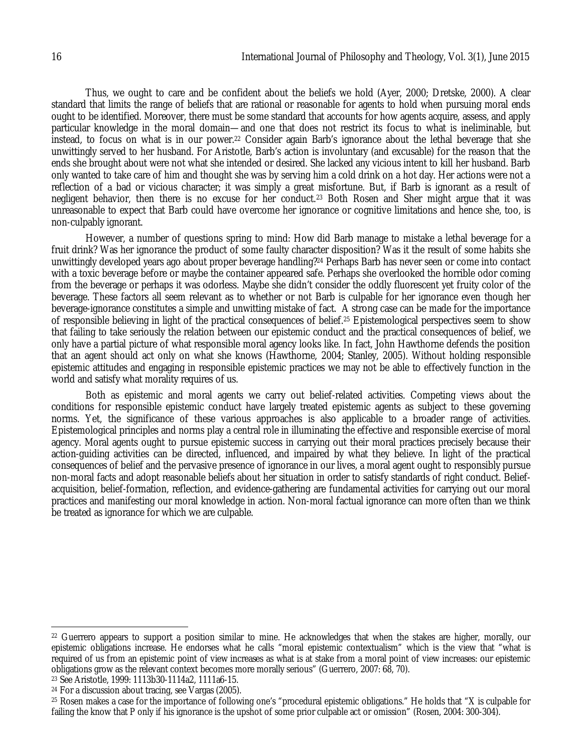Thus, we ought to care and be confident about the beliefs we hold (Ayer, 2000; Dretske, 2000). A clear standard that limits the range of beliefs that are rational or reasonable for agents to hold when pursuing moral ends ought to be identified. Moreover, there must be some standard that accounts for how agents acquire, assess, and apply particular knowledge in the moral domain—and one that does not restrict its focus to what is ineliminable, but instead, to focus on what is in our power.<sup>22</sup> Consider again Barb's ignorance about the lethal beverage that she unwittingly served to her husband. For Aristotle, Barb's action is involuntary (and excusable) for the reason that the ends she brought about were not what she intended or desired. She lacked any vicious intent to kill her husband. Barb only wanted to take care of him and thought she was by serving him a cold drink on a hot day. Her actions were not a reflection of a bad or vicious character; it was simply a great misfortune. But, if Barb is ignorant as a result of negligent behavior, then there is no excuse for her conduct.<sup>23</sup> Both Rosen and Sher might argue that it was unreasonable to expect that Barb could have overcome her ignorance or cognitive limitations and hence she, too, is non-culpably ignorant.

However, a number of questions spring to mind: How did Barb manage to mistake a lethal beverage for a fruit drink? Was her ignorance the product of some faulty character disposition? Was it the result of some habits she unwittingly developed years ago about proper beverage handling?<sup>24</sup> Perhaps Barb has never seen or come into contact with a toxic beverage before or maybe the container appeared safe. Perhaps she overlooked the horrible odor coming from the beverage or perhaps it was odorless. Maybe she didn't consider the oddly fluorescent yet fruity color of the beverage. These factors all seem relevant as to whether or not Barb is culpable for her ignorance even though her beverage-ignorance constitutes a simple and unwitting mistake of fact. A strong case can be made for the importance of responsible believing in light of the practical consequences of belief.<sup>25</sup> Epistemological perspectives seem to show that failing to take seriously the relation between our epistemic conduct and the practical consequences of belief, we only have a partial picture of what responsible moral agency looks like. In fact, John Hawthorne defends the position that an agent should act only on what she knows (Hawthorne, 2004; Stanley, 2005). Without holding responsible epistemic attitudes and engaging in responsible epistemic practices we may not be able to effectively function in the world and satisfy what morality requires of us.

Both as epistemic and moral agents we carry out belief-related activities. Competing views about the conditions for responsible epistemic conduct have largely treated epistemic agents as subject to these governing norms. Yet, the significance of these various approaches is also applicable to a broader range of activities. Epistemological principles and norms play a central role in illuminating the effective and responsible exercise of moral agency. Moral agents ought to pursue epistemic success in carrying out their moral practices precisely because their action-guiding activities can be directed, influenced, and impaired by what they believe. In light of the practical consequences of belief and the pervasive presence of ignorance in our lives, a moral agent ought to responsibly pursue non-moral facts and adopt reasonable beliefs about her situation in order to satisfy standards of right conduct. Beliefacquisition, belief-formation, reflection, and evidence-gathering are fundamental activities for carrying out our moral practices and manifesting our moral knowledge in action. Non-moral factual ignorance can more often than we think be treated as ignorance for which we are culpable.

 $\overline{a}$ 

 $^{22}$  Guerrero appears to support a position similar to mine. He acknowledges that when the stakes are higher, morally, our epistemic obligations increase. He endorses what he calls "moral epistemic contextualism" which is the view that "what is required of us from an epistemic point of view increases as what is at stake from a moral point of view increases: our epistemic obligations grow as the relevant context becomes more morally serious" (Guerrero, 2007: 68, 70).

<sup>23</sup> See Aristotle, 1999: 1113b30-1114a2, 1111a6-15.

<sup>24</sup> For a discussion about tracing, see Vargas (2005).

<sup>25</sup> Rosen makes a case for the importance of following one's "procedural epistemic obligations." He holds that "X is culpable for failing the know that P only if his ignorance is the upshot of some prior culpable act or omission" (Rosen, 2004: 300-304).